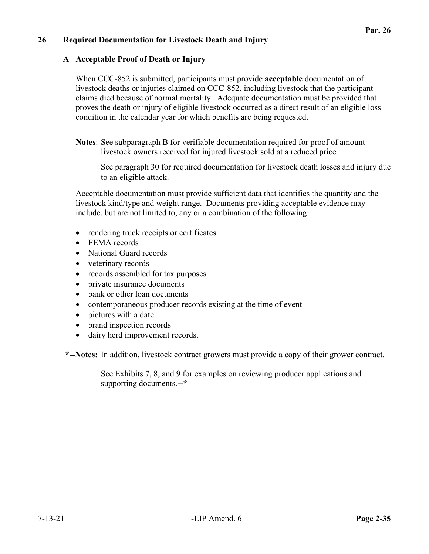## **26 Required Documentation for Livestock Death and Injury**

#### **A Acceptable Proof of Death or Injury**

When CCC-852 is submitted, participants must provide **acceptable** documentation of livestock deaths or injuries claimed on CCC-852, including livestock that the participant claims died because of normal mortality. Adequate documentation must be provided that proves the death or injury of eligible livestock occurred as a direct result of an eligible loss condition in the calendar year for which benefits are being requested.

**Notes**: See subparagraph B for verifiable documentation required for proof of amount livestock owners received for injured livestock sold at a reduced price.

See paragraph 30 for required documentation for livestock death losses and injury due to an eligible attack.

Acceptable documentation must provide sufficient data that identifies the quantity and the livestock kind/type and weight range. Documents providing acceptable evidence may include, but are not limited to, any or a combination of the following:

- rendering truck receipts or certificates
- FEMA records
- National Guard records
- veterinary records
- records assembled for tax purposes
- private insurance documents
- bank or other loan documents
- contemporaneous producer records existing at the time of event
- pictures with a date
- brand inspection records
- dairy herd improvement records.

 **\*--Notes:** In addition, livestock contract growers must provide a copy of their grower contract.

See Exhibits 7, 8, and 9 for examples on reviewing producer applications and supporting documents.**--\***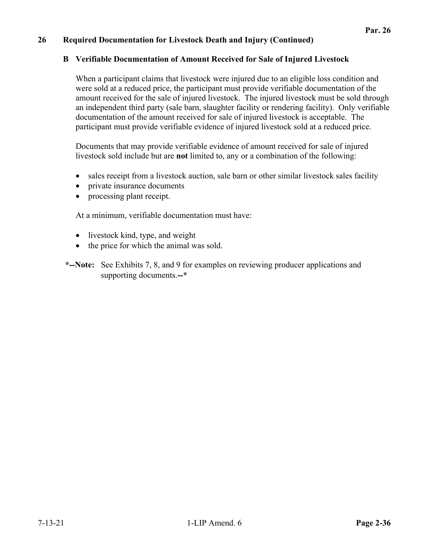## **B Verifiable Documentation of Amount Received for Sale of Injured Livestock**

When a participant claims that livestock were injured due to an eligible loss condition and were sold at a reduced price, the participant must provide verifiable documentation of the amount received for the sale of injured livestock. The injured livestock must be sold through an independent third party (sale barn, slaughter facility or rendering facility). Only verifiable documentation of the amount received for sale of injured livestock is acceptable. The participant must provide verifiable evidence of injured livestock sold at a reduced price.

Documents that may provide verifiable evidence of amount received for sale of injured livestock sold include but are **not** limited to, any or a combination of the following:

- sales receipt from a livestock auction, sale barn or other similar livestock sales facility
- private insurance documents
- processing plant receipt.

At a minimum, verifiable documentation must have:

- livestock kind, type, and weight
- the price for which the animal was sold.

 **\*--Note:** See Exhibits 7, 8, and 9 for examples on reviewing producer applications and supporting documents.**--\***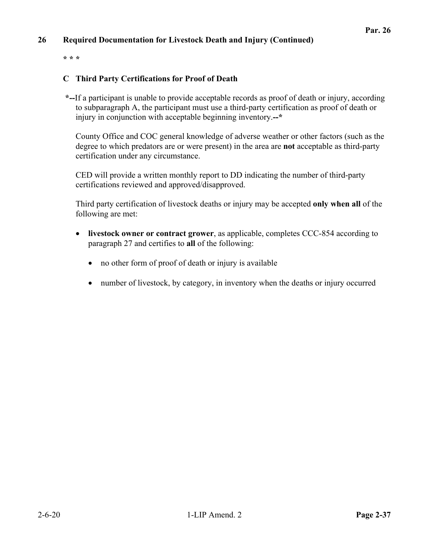**\* \* \*** 

## **C Third Party Certifications for Proof of Death**

 **\*--**If a participant is unable to provide acceptable records as proof of death or injury, according to subparagraph A, the participant must use a third-party certification as proof of death or injury in conjunction with acceptable beginning inventory.**--\*** 

County Office and COC general knowledge of adverse weather or other factors (such as the degree to which predators are or were present) in the area are **not** acceptable as third-party certification under any circumstance.

CED will provide a written monthly report to DD indicating the number of third-party certifications reviewed and approved/disapproved.

Third party certification of livestock deaths or injury may be accepted **only when all** of the following are met:

- **livestock owner or contract grower**, as applicable, completes CCC-854 according to paragraph 27 and certifies to **all** of the following:
	- no other form of proof of death or injury is available
	- number of livestock, by category, in inventory when the deaths or injury occurred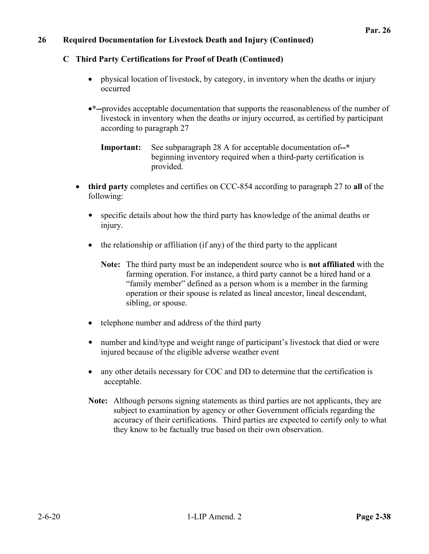## **C Third Party Certifications for Proof of Death (Continued)**

- physical location of livestock, by category, in inventory when the deaths or injury occurred
- **\*--**provides acceptable documentation that supports the reasonableness of the number of livestock in inventory when the deaths or injury occurred, as certified by participant according to paragraph 27

**Important:** See subparagraph 28 A for acceptable documentation of**--\*** beginning inventory required when a third-party certification is provided.

- **third party** completes and certifies on CCC-854 according to paragraph 27 to **all** of the following:
	- specific details about how the third party has knowledge of the animal deaths or injury.
	- $\bullet$  the relationship or affiliation (if any) of the third party to the applicant
		- **Note:** The third party must be an independent source who is **not affiliated** with the farming operation. For instance, a third party cannot be a hired hand or a "family member" defined as a person whom is a member in the farming operation or their spouse is related as lineal ancestor, lineal descendant, sibling, or spouse.
	- telephone number and address of the third party
	- number and kind/type and weight range of participant's livestock that died or were injured because of the eligible adverse weather event
	- any other details necessary for COC and DD to determine that the certification is acceptable.
	- **Note:** Although persons signing statements as third parties are not applicants, they are subject to examination by agency or other Government officials regarding the accuracy of their certifications. Third parties are expected to certify only to what they know to be factually true based on their own observation.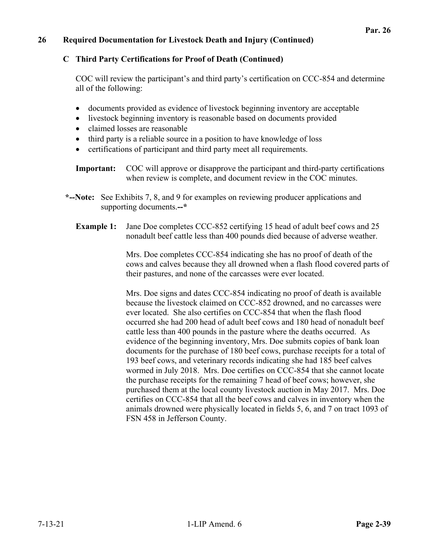#### **C Third Party Certifications for Proof of Death (Continued)**

COC will review the participant's and third party's certification on CCC-854 and determine all of the following:

- documents provided as evidence of livestock beginning inventory are acceptable
- livestock beginning inventory is reasonable based on documents provided
- claimed losses are reasonable
- third party is a reliable source in a position to have knowledge of loss
- certifications of participant and third party meet all requirements.
- **Important:** COC will approve or disapprove the participant and third-party certifications when review is complete, and document review in the COC minutes.
- **\*--Note:** See Exhibits 7, 8, and 9 for examples on reviewing producer applications and supporting documents.**--\*** 
	- **Example 1:** Jane Doe completes CCC-852 certifying 15 head of adult beef cows and 25 nonadult beef cattle less than 400 pounds died because of adverse weather.

Mrs. Doe completes CCC-854 indicating she has no proof of death of the cows and calves because they all drowned when a flash flood covered parts of their pastures, and none of the carcasses were ever located.

Mrs. Doe signs and dates CCC-854 indicating no proof of death is available because the livestock claimed on CCC-852 drowned, and no carcasses were ever located. She also certifies on CCC-854 that when the flash flood occurred she had 200 head of adult beef cows and 180 head of nonadult beef cattle less than 400 pounds in the pasture where the deaths occurred. As evidence of the beginning inventory, Mrs. Doe submits copies of bank loan documents for the purchase of 180 beef cows, purchase receipts for a total of 193 beef cows, and veterinary records indicating she had 185 beef calves wormed in July 2018. Mrs. Doe certifies on CCC-854 that she cannot locate the purchase receipts for the remaining 7 head of beef cows; however, she purchased them at the local county livestock auction in May 2017. Mrs. Doe certifies on CCC-854 that all the beef cows and calves in inventory when the animals drowned were physically located in fields 5, 6, and 7 on tract 1093 of FSN 458 in Jefferson County.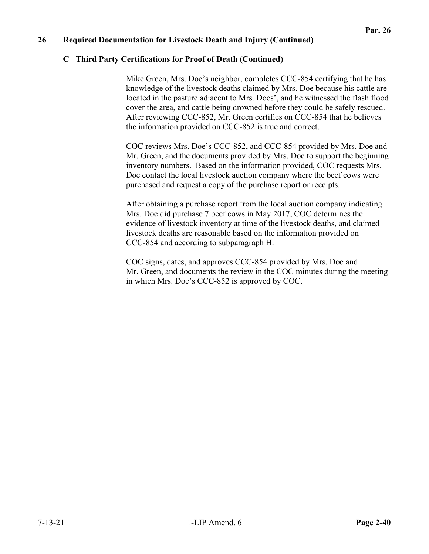#### **C Third Party Certifications for Proof of Death (Continued)**

Mike Green, Mrs. Doe's neighbor, completes CCC-854 certifying that he has knowledge of the livestock deaths claimed by Mrs. Doe because his cattle are located in the pasture adjacent to Mrs. Does', and he witnessed the flash flood cover the area, and cattle being drowned before they could be safely rescued. After reviewing CCC-852, Mr. Green certifies on CCC-854 that he believes the information provided on CCC-852 is true and correct.

COC reviews Mrs. Doe's CCC-852, and CCC-854 provided by Mrs. Doe and Mr. Green, and the documents provided by Mrs. Doe to support the beginning inventory numbers. Based on the information provided, COC requests Mrs. Doe contact the local livestock auction company where the beef cows were purchased and request a copy of the purchase report or receipts.

After obtaining a purchase report from the local auction company indicating Mrs. Doe did purchase 7 beef cows in May 2017, COC determines the evidence of livestock inventory at time of the livestock deaths, and claimed livestock deaths are reasonable based on the information provided on CCC-854 and according to subparagraph H.

COC signs, dates, and approves CCC-854 provided by Mrs. Doe and Mr. Green, and documents the review in the COC minutes during the meeting in which Mrs. Doe's CCC-852 is approved by COC.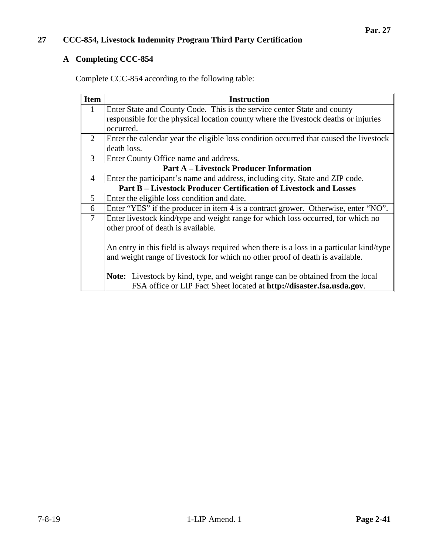## **A Completing CCC-854**

Complete CCC-854 according to the following table:

| <b>Item</b>                                                                              | <b>Instruction</b>                                                                     |  |  |  |  |  |  |  |
|------------------------------------------------------------------------------------------|----------------------------------------------------------------------------------------|--|--|--|--|--|--|--|
| 1                                                                                        | Enter State and County Code. This is the service center State and county               |  |  |  |  |  |  |  |
|                                                                                          | responsible for the physical location county where the livestock deaths or injuries    |  |  |  |  |  |  |  |
|                                                                                          | occurred.                                                                              |  |  |  |  |  |  |  |
| $\mathcal{D}_{\cdot}$                                                                    | Enter the calendar year the eligible loss condition occurred that caused the livestock |  |  |  |  |  |  |  |
|                                                                                          | death loss.                                                                            |  |  |  |  |  |  |  |
| 3                                                                                        | Enter County Office name and address.                                                  |  |  |  |  |  |  |  |
| <b>Part A – Livestock Producer Information</b>                                           |                                                                                        |  |  |  |  |  |  |  |
| 4                                                                                        | Enter the participant's name and address, including city, State and ZIP code.          |  |  |  |  |  |  |  |
|                                                                                          | <b>Part B - Livestock Producer Certification of Livestock and Losses</b>               |  |  |  |  |  |  |  |
| 5                                                                                        | Enter the eligible loss condition and date.                                            |  |  |  |  |  |  |  |
| 6                                                                                        | Enter "YES" if the producer in item 4 is a contract grower. Otherwise, enter "NO".     |  |  |  |  |  |  |  |
| $\tau$                                                                                   | Enter livestock kind/type and weight range for which loss occurred, for which no       |  |  |  |  |  |  |  |
|                                                                                          | other proof of death is available.                                                     |  |  |  |  |  |  |  |
|                                                                                          |                                                                                        |  |  |  |  |  |  |  |
| An entry in this field is always required when there is a loss in a particular kind/type |                                                                                        |  |  |  |  |  |  |  |
| and weight range of livestock for which no other proof of death is available.            |                                                                                        |  |  |  |  |  |  |  |
|                                                                                          |                                                                                        |  |  |  |  |  |  |  |
|                                                                                          | <b>Note:</b> Livestock by kind, type, and weight range can be obtained from the local  |  |  |  |  |  |  |  |
|                                                                                          | FSA office or LIP Fact Sheet located at http://disaster.fsa.usda.gov.                  |  |  |  |  |  |  |  |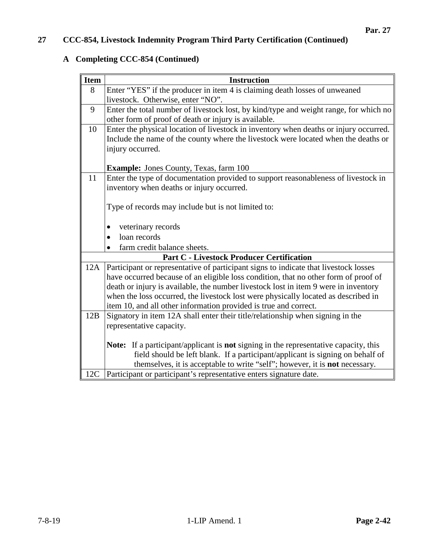## **A Completing CCC-854 (Continued)**

| <b>Item</b> | <b>Instruction</b>                                                                                 |  |  |  |  |  |  |  |
|-------------|----------------------------------------------------------------------------------------------------|--|--|--|--|--|--|--|
| 8           | Enter "YES" if the producer in item 4 is claiming death losses of unweaned                         |  |  |  |  |  |  |  |
|             | livestock. Otherwise, enter "NO".                                                                  |  |  |  |  |  |  |  |
| 9           | Enter the total number of livestock lost, by kind/type and weight range, for which no              |  |  |  |  |  |  |  |
|             | other form of proof of death or injury is available.                                               |  |  |  |  |  |  |  |
| 10          | Enter the physical location of livestock in inventory when deaths or injury occurred.              |  |  |  |  |  |  |  |
|             | Include the name of the county where the livestock were located when the deaths or                 |  |  |  |  |  |  |  |
|             | injury occurred.                                                                                   |  |  |  |  |  |  |  |
|             |                                                                                                    |  |  |  |  |  |  |  |
|             | <b>Example:</b> Jones County, Texas, farm 100                                                      |  |  |  |  |  |  |  |
| 11          | Enter the type of documentation provided to support reasonableness of livestock in                 |  |  |  |  |  |  |  |
|             | inventory when deaths or injury occurred.                                                          |  |  |  |  |  |  |  |
|             |                                                                                                    |  |  |  |  |  |  |  |
|             | Type of records may include but is not limited to:                                                 |  |  |  |  |  |  |  |
|             |                                                                                                    |  |  |  |  |  |  |  |
|             | veterinary records                                                                                 |  |  |  |  |  |  |  |
|             | loan records                                                                                       |  |  |  |  |  |  |  |
|             | farm credit balance sheets.                                                                        |  |  |  |  |  |  |  |
|             | <b>Part C - Livestock Producer Certification</b>                                                   |  |  |  |  |  |  |  |
| 12A         | Participant or representative of participant signs to indicate that livestock losses               |  |  |  |  |  |  |  |
|             | have occurred because of an eligible loss condition, that no other form of proof of                |  |  |  |  |  |  |  |
|             | death or injury is available, the number livestock lost in item 9 were in inventory                |  |  |  |  |  |  |  |
|             | when the loss occurred, the livestock lost were physically located as described in                 |  |  |  |  |  |  |  |
|             | item 10, and all other information provided is true and correct.                                   |  |  |  |  |  |  |  |
| 12B         | Signatory in item 12A shall enter their title/relationship when signing in the                     |  |  |  |  |  |  |  |
|             | representative capacity.                                                                           |  |  |  |  |  |  |  |
|             |                                                                                                    |  |  |  |  |  |  |  |
|             | <b>Note:</b> If a participant/applicant is <b>not</b> signing in the representative capacity, this |  |  |  |  |  |  |  |
|             | field should be left blank. If a participant/applicant is signing on behalf of                     |  |  |  |  |  |  |  |
|             | themselves, it is acceptable to write "self"; however, it is not necessary.                        |  |  |  |  |  |  |  |
| 12C         | Participant or participant's representative enters signature date.                                 |  |  |  |  |  |  |  |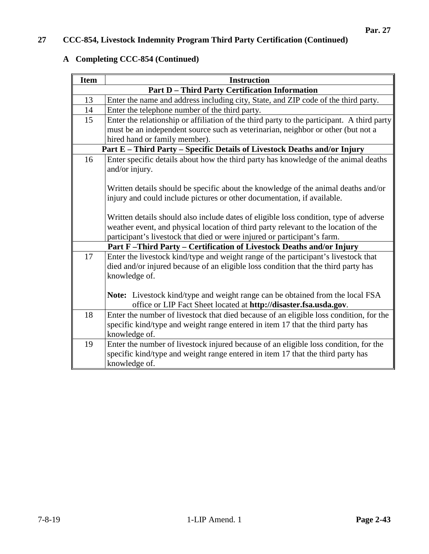## **A Completing CCC-854 (Continued)**

| <b>Item</b>                                                                | <b>Instruction</b>                                                                                  |  |  |  |  |  |  |  |  |
|----------------------------------------------------------------------------|-----------------------------------------------------------------------------------------------------|--|--|--|--|--|--|--|--|
|                                                                            | <b>Part D - Third Party Certification Information</b>                                               |  |  |  |  |  |  |  |  |
| 13                                                                         | Enter the name and address including city, State, and ZIP code of the third party.                  |  |  |  |  |  |  |  |  |
| 14                                                                         | Enter the telephone number of the third party.                                                      |  |  |  |  |  |  |  |  |
| 15                                                                         | Enter the relationship or affiliation of the third party to the participant. A third party          |  |  |  |  |  |  |  |  |
|                                                                            | must be an independent source such as veterinarian, neighbor or other (but not a                    |  |  |  |  |  |  |  |  |
|                                                                            | hired hand or family member).                                                                       |  |  |  |  |  |  |  |  |
|                                                                            | Part E - Third Party - Specific Details of Livestock Deaths and/or Injury                           |  |  |  |  |  |  |  |  |
| 16                                                                         | Enter specific details about how the third party has knowledge of the animal deaths                 |  |  |  |  |  |  |  |  |
|                                                                            | and/or injury.                                                                                      |  |  |  |  |  |  |  |  |
|                                                                            |                                                                                                     |  |  |  |  |  |  |  |  |
|                                                                            | Written details should be specific about the knowledge of the animal deaths and/or                  |  |  |  |  |  |  |  |  |
|                                                                            | injury and could include pictures or other documentation, if available.                             |  |  |  |  |  |  |  |  |
|                                                                            |                                                                                                     |  |  |  |  |  |  |  |  |
|                                                                            | Written details should also include dates of eligible loss condition, type of adverse               |  |  |  |  |  |  |  |  |
|                                                                            | weather event, and physical location of third party relevant to the location of the                 |  |  |  |  |  |  |  |  |
|                                                                            | participant's livestock that died or were injured or participant's farm.                            |  |  |  |  |  |  |  |  |
| Part F-Third Party - Certification of Livestock Deaths and/or Injury<br>17 |                                                                                                     |  |  |  |  |  |  |  |  |
|                                                                            | Enter the livestock kind/type and weight range of the participant's livestock that                  |  |  |  |  |  |  |  |  |
|                                                                            | died and/or injured because of an eligible loss condition that the third party has<br>knowledge of. |  |  |  |  |  |  |  |  |
|                                                                            |                                                                                                     |  |  |  |  |  |  |  |  |
|                                                                            | Note: Livestock kind/type and weight range can be obtained from the local FSA                       |  |  |  |  |  |  |  |  |
|                                                                            | office or LIP Fact Sheet located at http://disaster.fsa.usda.gov.                                   |  |  |  |  |  |  |  |  |
| 18                                                                         | Enter the number of livestock that died because of an eligible loss condition, for the              |  |  |  |  |  |  |  |  |
|                                                                            | specific kind/type and weight range entered in item 17 that the third party has                     |  |  |  |  |  |  |  |  |
|                                                                            | knowledge of.                                                                                       |  |  |  |  |  |  |  |  |
| 19                                                                         | Enter the number of livestock injured because of an eligible loss condition, for the                |  |  |  |  |  |  |  |  |
|                                                                            | specific kind/type and weight range entered in item 17 that the third party has                     |  |  |  |  |  |  |  |  |
|                                                                            | knowledge of.                                                                                       |  |  |  |  |  |  |  |  |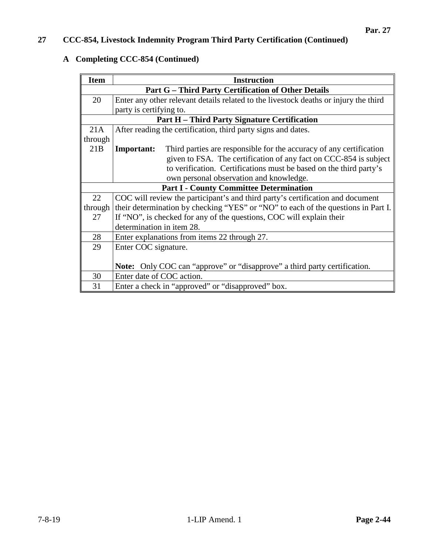## **A Completing CCC-854 (Continued)**

| <b>Item</b>                                         | <b>Instruction</b>                                                                       |  |  |  |  |  |
|-----------------------------------------------------|------------------------------------------------------------------------------------------|--|--|--|--|--|
|                                                     | <b>Part G - Third Party Certification of Other Details</b>                               |  |  |  |  |  |
| 20                                                  | Enter any other relevant details related to the livestock deaths or injury the third     |  |  |  |  |  |
|                                                     | party is certifying to.                                                                  |  |  |  |  |  |
| <b>Part H</b> – Third Party Signature Certification |                                                                                          |  |  |  |  |  |
| 21A                                                 | After reading the certification, third party signs and dates.                            |  |  |  |  |  |
| through                                             |                                                                                          |  |  |  |  |  |
| 21B                                                 | Third parties are responsible for the accuracy of any certification<br><b>Important:</b> |  |  |  |  |  |
|                                                     | given to FSA. The certification of any fact on CCC-854 is subject                        |  |  |  |  |  |
|                                                     | to verification. Certifications must be based on the third party's                       |  |  |  |  |  |
|                                                     | own personal observation and knowledge.                                                  |  |  |  |  |  |
| <b>Part I - County Committee Determination</b>      |                                                                                          |  |  |  |  |  |
| 22                                                  | COC will review the participant's and third party's certification and document           |  |  |  |  |  |
| through                                             | their determination by checking "YES" or "NO" to each of the questions in Part I.        |  |  |  |  |  |
| 27                                                  | If "NO", is checked for any of the questions, COC will explain their                     |  |  |  |  |  |
|                                                     | determination in item 28.                                                                |  |  |  |  |  |
| 28                                                  | Enter explanations from items 22 through 27.                                             |  |  |  |  |  |
| 29                                                  | Enter COC signature.                                                                     |  |  |  |  |  |
|                                                     |                                                                                          |  |  |  |  |  |
|                                                     | <b>Note:</b> Only COC can "approve" or "disapprove" a third party certification.         |  |  |  |  |  |
| 30                                                  | Enter date of COC action.                                                                |  |  |  |  |  |
| 31                                                  | Enter a check in "approved" or "disapproved" box.                                        |  |  |  |  |  |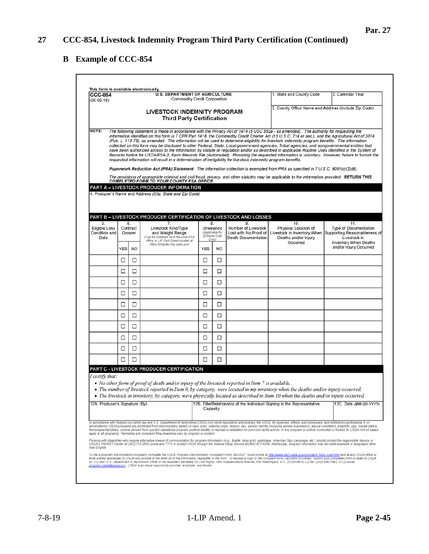# **Par. 27**

٦

## **B Example of CCC-854**

| <b>CCC-854</b><br>$(06-06-19)$               |                          |           | <b>U.S. DEPARTMENT OF AGRICULTURE</b><br>Commodity Credit Corporation                                                                                                                                                              |                                                          |           |                                                                           | 1. State and County Code                                                                                                                                                                                                                                                                                                                                                                                                                                                                                                                                                                                                                                                                                                                                                                                                                                                                                                                                                                                                                                                                                                                                                                       | 2. Calendar Year                                                                                                                         |
|----------------------------------------------|--------------------------|-----------|------------------------------------------------------------------------------------------------------------------------------------------------------------------------------------------------------------------------------------|----------------------------------------------------------|-----------|---------------------------------------------------------------------------|------------------------------------------------------------------------------------------------------------------------------------------------------------------------------------------------------------------------------------------------------------------------------------------------------------------------------------------------------------------------------------------------------------------------------------------------------------------------------------------------------------------------------------------------------------------------------------------------------------------------------------------------------------------------------------------------------------------------------------------------------------------------------------------------------------------------------------------------------------------------------------------------------------------------------------------------------------------------------------------------------------------------------------------------------------------------------------------------------------------------------------------------------------------------------------------------|------------------------------------------------------------------------------------------------------------------------------------------|
|                                              |                          |           | <b>LIVESTOCK INDEMNITY PROGRAM</b><br><b>Third Party Certification</b>                                                                                                                                                             |                                                          |           |                                                                           | 3. County Office Name and Address (Include Zip Code)                                                                                                                                                                                                                                                                                                                                                                                                                                                                                                                                                                                                                                                                                                                                                                                                                                                                                                                                                                                                                                                                                                                                           |                                                                                                                                          |
| NOTE:                                        |                          |           | requested information will result in a determination of ineligibility for livestock indemnity program benefits.<br>COMPLETED FORM TO YOUR COUNTY FSA OFFICE.<br>PART A – LIVESTOCK PRODUCER INFORMATION                            |                                                          |           |                                                                           | The following statement is made in accordance with the Privacy Act of 1974 (5 USC 552a - as amended). The authority for requesting the<br>information identified on this form is 7 CFR Part 1416, the Commodity Credit Charter Act (15 U.S.C. 714 et seq.), and the Agricultural Act of 2014<br>(Pub. L. 113-79), as amended. The information will be used to determine eligibility for livestock indemnity program benefits. The information<br>collected on this form may be disclosed to other Federal, State, Local government agencies, Tribal agencies, and nongovernmental entities that<br>have been authorized access to the information by statute or requlation and/or as described in applicable Routine Uses identified in the System of<br>Records Notice for USDA/FSA-2, Farm Records File (Automated). Providing the requested information is voluntary. However, failure to furnish the<br>Paperwork Reduction Act (PRA) Statement: The information collection is exempted from PRA as specified in 7 U.S.C. 9091(c)(2)(B).<br>The provisions of appropriate criminal and civil fraud, privacy, and other statutes may be applicable to the information provided. RETURN THIS |                                                                                                                                          |
|                                              |                          |           | 4. Producer's Name and Address (City, State and Zip Code)                                                                                                                                                                          |                                                          |           |                                                                           |                                                                                                                                                                                                                                                                                                                                                                                                                                                                                                                                                                                                                                                                                                                                                                                                                                                                                                                                                                                                                                                                                                                                                                                                |                                                                                                                                          |
| 5.<br>Eligible Loss<br>Condition and<br>Date | 6.<br>Contract<br>Grower |           | PART B – LIVESTOCK PRODUCER CERTIFICATION OF LIVESTOCK AND LOSSES<br>7.<br>Livestock Kind/Type<br>and Weight Range<br>(Can be obtained from the local FSA<br>office or LIP Fact Sheet located at<br>https://disaster.fsa.usda.gov) | 8.<br>Unweaned<br>(Applicable for<br>Extreme Cold<br>OnN |           | 9.<br>Number of Livestock<br>Lost with No Proof of<br>Death Documentation | 10.<br>Physical Location of<br>Deaths and/or Injury<br>Occurred                                                                                                                                                                                                                                                                                                                                                                                                                                                                                                                                                                                                                                                                                                                                                                                                                                                                                                                                                                                                                                                                                                                                | 11.<br><b>Type of Documentation</b><br>Livestock in Inventory When Supporting Reasonableness of<br>Livestock in<br>Inventory When Deaths |
|                                              | <b>YES</b>               | <b>NO</b> |                                                                                                                                                                                                                                    | <b>YES</b>                                               | <b>NO</b> |                                                                           |                                                                                                                                                                                                                                                                                                                                                                                                                                                                                                                                                                                                                                                                                                                                                                                                                                                                                                                                                                                                                                                                                                                                                                                                | and/or Injury Occurred                                                                                                                   |
|                                              | □                        | □         |                                                                                                                                                                                                                                    | □                                                        | □         |                                                                           |                                                                                                                                                                                                                                                                                                                                                                                                                                                                                                                                                                                                                                                                                                                                                                                                                                                                                                                                                                                                                                                                                                                                                                                                |                                                                                                                                          |
|                                              | □                        | □         |                                                                                                                                                                                                                                    | □                                                        | □         |                                                                           |                                                                                                                                                                                                                                                                                                                                                                                                                                                                                                                                                                                                                                                                                                                                                                                                                                                                                                                                                                                                                                                                                                                                                                                                |                                                                                                                                          |
|                                              | □<br>□                   | □<br>□    |                                                                                                                                                                                                                                    | □<br>□                                                   | □<br>□    |                                                                           |                                                                                                                                                                                                                                                                                                                                                                                                                                                                                                                                                                                                                                                                                                                                                                                                                                                                                                                                                                                                                                                                                                                                                                                                |                                                                                                                                          |
|                                              | □                        | □         |                                                                                                                                                                                                                                    | □                                                        | □         |                                                                           |                                                                                                                                                                                                                                                                                                                                                                                                                                                                                                                                                                                                                                                                                                                                                                                                                                                                                                                                                                                                                                                                                                                                                                                                |                                                                                                                                          |
|                                              | □                        | □         |                                                                                                                                                                                                                                    | □                                                        | □         |                                                                           |                                                                                                                                                                                                                                                                                                                                                                                                                                                                                                                                                                                                                                                                                                                                                                                                                                                                                                                                                                                                                                                                                                                                                                                                |                                                                                                                                          |
|                                              | □                        | □         |                                                                                                                                                                                                                                    | □                                                        | □         |                                                                           |                                                                                                                                                                                                                                                                                                                                                                                                                                                                                                                                                                                                                                                                                                                                                                                                                                                                                                                                                                                                                                                                                                                                                                                                |                                                                                                                                          |
|                                              | □                        | □         |                                                                                                                                                                                                                                    | □                                                        | □         |                                                                           |                                                                                                                                                                                                                                                                                                                                                                                                                                                                                                                                                                                                                                                                                                                                                                                                                                                                                                                                                                                                                                                                                                                                                                                                |                                                                                                                                          |
|                                              | □                        | □         |                                                                                                                                                                                                                                    | □                                                        | □         |                                                                           |                                                                                                                                                                                                                                                                                                                                                                                                                                                                                                                                                                                                                                                                                                                                                                                                                                                                                                                                                                                                                                                                                                                                                                                                |                                                                                                                                          |
|                                              | □                        | □         |                                                                                                                                                                                                                                    | □                                                        | □         |                                                                           |                                                                                                                                                                                                                                                                                                                                                                                                                                                                                                                                                                                                                                                                                                                                                                                                                                                                                                                                                                                                                                                                                                                                                                                                |                                                                                                                                          |
| I certify that:                              |                          |           | PART C - LIVESTOCK PRODUCER CERTIFICATION<br>• No other form of proof of death and/or injury of the livestock reported in Item 7 is available.                                                                                     |                                                          |           |                                                                           | • The number of livestock reported in Item 9, by category, were located in my inventory when the deaths and/or injury occurred.<br>• The livestock in inventory, by category, were physically located as described in Item 10 when the deaths and/or injury occurred.                                                                                                                                                                                                                                                                                                                                                                                                                                                                                                                                                                                                                                                                                                                                                                                                                                                                                                                          |                                                                                                                                          |
| 12A. Producer's Signature (By)               |                          |           |                                                                                                                                                                                                                                    | Capacity                                                 |           |                                                                           | 12B. Title/Relationship of the Individual Signing in the Representative                                                                                                                                                                                                                                                                                                                                                                                                                                                                                                                                                                                                                                                                                                                                                                                                                                                                                                                                                                                                                                                                                                                        | 12C. Date (MM-DD-YYYY)                                                                                                                   |
| than English.                                |                          |           | apply to all programs). Remedies and complaint filing deadlines vary by program or incident.                                                                                                                                       |                                                          |           |                                                                           | In accordance with Federal civil rights law and U.S. Department of Agriculture (USDA) civil rights regulations and policies, the USDA, its Agencies, offices, and employees, and institutions participating in or<br>administering USDA programs are prohibited from discriminating based on race, color, national origin, religion, sex, gender identity (including gender expression), sexual orientation, disability, age, marital status,<br>family/parental status, income derived from a public assistance program, political beliefs, or reprisal or retaliation for prior civil rights activity, in any program or activity conducted or funded by USDA (not all bases<br>Persons with disabilities who require alternative means of communication for program information (e.g., Braille, large print, audiotape, American Sign Language, etc.) should contact the responsible Agency or<br>USDA's TARGET Center at (202) 720-2600 (voice and TTY) or contact USDA through the Federal Relay Service at (800) 877-8339. Additionally, program information may be made available in languages other                                                                                    |                                                                                                                                          |
|                                              |                          |           | program intake@usda.gov. USDA is an equal opportunity provider, employer, and lender.                                                                                                                                              |                                                          |           |                                                                           | To file a program discrimination complaint, complete the USDA Program Discrimination Complaint Form, AD-3027, found online at http://www.ascr.usda.gov/complaint_filing_cust.html and at any USDA office or<br>write a letter addressed to USDA and provide in the letter all of the information requested in the form. To request a copy of the complaint form, call (966) 632-9992. Submit your completed form or letter to USDA<br>by: (1) mail U.S. Department of Agriculture Office of the Assistant Secretary for Civil Rights 1400 Independence Avenue, SW Washington, D.C. 20250-9410; (2) fax: (202) 690-7442; or (3) email.                                                                                                                                                                                                                                                                                                                                                                                                                                                                                                                                                          |                                                                                                                                          |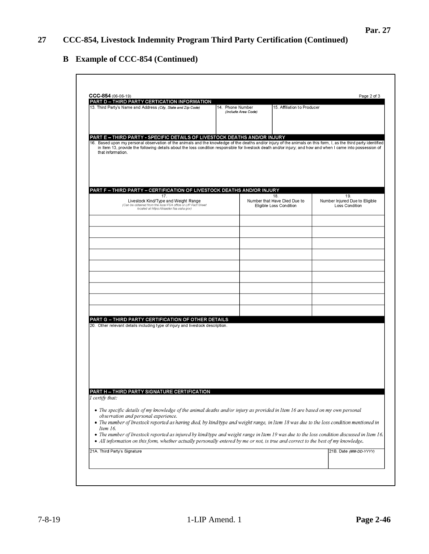## **B Example of CCC-854 (Continued)**

| PART D - THIRD PARTY CERTICATION INFORMATION<br>13. Third Party's Name and Address (City, State and Zip Code)                                                                                                                                                                                                                                                                                                                                                              | 14. Phone Number<br>(Include Area Code) | 15. Affiliation to Producer                                    |                                                         |
|----------------------------------------------------------------------------------------------------------------------------------------------------------------------------------------------------------------------------------------------------------------------------------------------------------------------------------------------------------------------------------------------------------------------------------------------------------------------------|-----------------------------------------|----------------------------------------------------------------|---------------------------------------------------------|
| PART E - THIRD PARTY - SPECIFIC DETAILS OF LIVESTOCK DEATHS AND/OR INJURY<br>16. Based upon my personal observation of the animals and the knowledge of the deaths and/or injury of the animals on this form, I, as the third party identified<br>in Item 13, provide the following details about the loss condition responsible for livestock death and/or injury; and how and when I came into possession of<br>that information.                                        |                                         |                                                                |                                                         |
| PART F - THIRD PARTY - CERTIFICATION OF LIVESTOCK DEATHS AND/OR INJURY                                                                                                                                                                                                                                                                                                                                                                                                     |                                         |                                                                |                                                         |
| 17.<br>Livestock Kind/Type and Weight Range<br>(Can be obtained from the local FSA office or LIP Fact Sheet<br>located at https://disaster.fsa.usda.gov)                                                                                                                                                                                                                                                                                                                   |                                         | 18.<br>Number that Have Died Due to<br>Eligible Loss Condition | 19.<br>Number Injured Due to Eligible<br>Loss Condition |
|                                                                                                                                                                                                                                                                                                                                                                                                                                                                            |                                         |                                                                |                                                         |
|                                                                                                                                                                                                                                                                                                                                                                                                                                                                            |                                         |                                                                |                                                         |
|                                                                                                                                                                                                                                                                                                                                                                                                                                                                            |                                         |                                                                |                                                         |
|                                                                                                                                                                                                                                                                                                                                                                                                                                                                            |                                         |                                                                |                                                         |
|                                                                                                                                                                                                                                                                                                                                                                                                                                                                            |                                         |                                                                |                                                         |
| PART G - THIRD PARTY CERTIFICATION OF OTHER DETAILS                                                                                                                                                                                                                                                                                                                                                                                                                        |                                         |                                                                |                                                         |
| 20. Other relevant details including type of injury and livestock description.                                                                                                                                                                                                                                                                                                                                                                                             |                                         |                                                                |                                                         |
|                                                                                                                                                                                                                                                                                                                                                                                                                                                                            |                                         |                                                                |                                                         |
|                                                                                                                                                                                                                                                                                                                                                                                                                                                                            |                                         |                                                                |                                                         |
| PART H - THIRD PARTY SIGNATURE CERTIFICATION<br>I certify that:                                                                                                                                                                                                                                                                                                                                                                                                            |                                         |                                                                |                                                         |
| • The specific details of my knowledge of the animal deaths and/or injury as provided in Item 16 are based on my own personal<br>observation and personal experience.<br>• The number of livestock reported as having died, by kind/type and weight range, in Item 18 was due to the loss condition mentioned in<br>Item 16.<br>• The number of livestock reported as injured by kind/type and weight range in Item 19 was due to the loss condition discussed in Item 16. |                                         |                                                                |                                                         |
| • All information on this form, whether actually personally entered by me or not, is true and correct to the best of my knowledge.                                                                                                                                                                                                                                                                                                                                         |                                         |                                                                | 21B. Date (MM-DD-YYYY)                                  |
| 21A. Third Party's Signature                                                                                                                                                                                                                                                                                                                                                                                                                                               |                                         |                                                                |                                                         |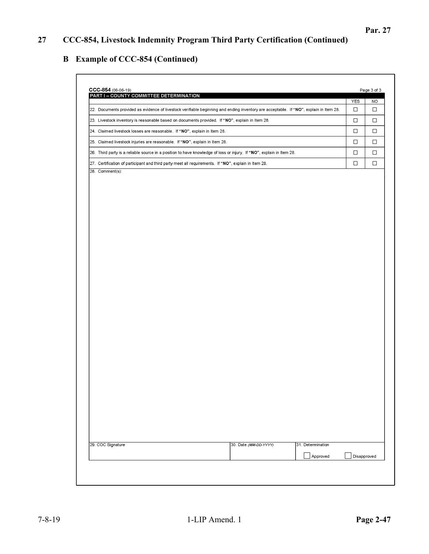## **B Example of CCC-854 (Continued)**

| PART I - COUNTY COMMITTEE DETERMINATION                                                                                                | YES    | <b>NO</b> |
|----------------------------------------------------------------------------------------------------------------------------------------|--------|-----------|
| 22. Documents provided as evidence of livestock verifiable beginning and ending inventory are acceptable. If "NO", explain in Item 28. | $\Box$ | □         |
| 23. Livestock inventory is reasonable based on documents provided. If "NO", explain in Item 28.                                        | $\Box$ | $\Box$    |
| 24. Claimed livestock losses are reasonable. If "NO", explain in Item 28.                                                              | $\Box$ | □         |
| 25. Claimed livestock injuries are reasonable. If "NO", explain in Item 28.                                                            | □      | $\Box$    |
| 26. Third party is a reliable source in a position to have knowledge of loss or injury. If "NO", explain in Item 28.                   | $\Box$ | $\Box$    |
| 27. Certification of participant and third party meet all requirements. If "NO", explain in Item 28.                                   | $\Box$ | $\Box$    |
|                                                                                                                                        |        |           |
|                                                                                                                                        |        |           |
| 29. COC Signature<br>30. Date (MM-DD-YYYY)<br>31. Determination                                                                        |        |           |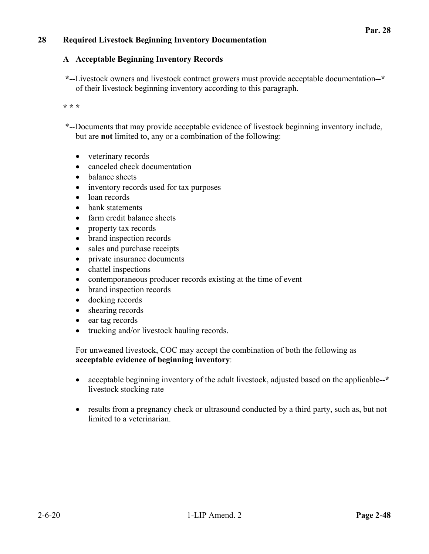## **28 Required Livestock Beginning Inventory Documentation**

#### **A Acceptable Beginning Inventory Records**

**\*--**Livestock owners and livestock contract growers must provide acceptable documentation**--\*** of their livestock beginning inventory according to this paragraph.

**\* \* \*** 

- \*--Documents that may provide acceptable evidence of livestock beginning inventory include, but are **not** limited to, any or a combination of the following:
	- veterinary records
	- canceled check documentation
	- balance sheets
	- inventory records used for tax purposes
	- loan records
	- bank statements
	- farm credit balance sheets
	- property tax records
	- brand inspection records
	- sales and purchase receipts
	- private insurance documents
	- chattel inspections
	- contemporaneous producer records existing at the time of event
	- brand inspection records
	- docking records
	- shearing records
	- ear tag records
	- trucking and/or livestock hauling records.

For unweaned livestock, COC may accept the combination of both the following as **acceptable evidence of beginning inventory**:

- acceptable beginning inventory of the adult livestock, adjusted based on the applicable**--\*** livestock stocking rate
- results from a pregnancy check or ultrasound conducted by a third party, such as, but not limited to a veterinarian.